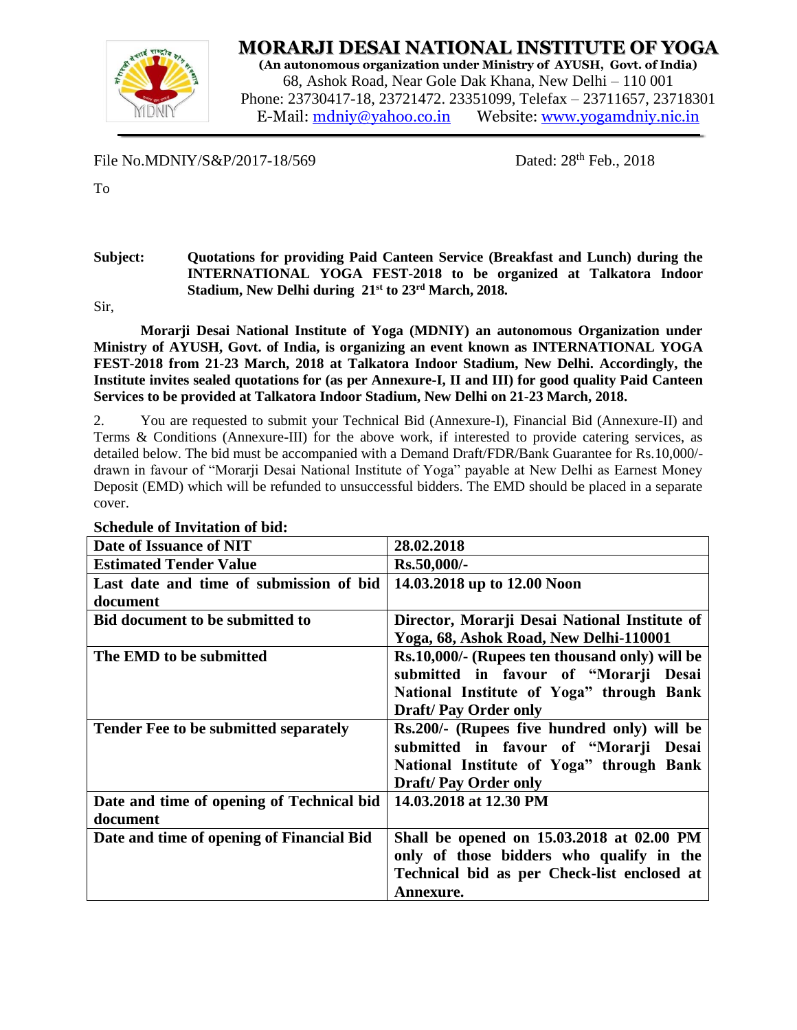

**MORARJI DESAI NATIONAL INSTITUTE OF YOGA**

**(An autonomous organization under Ministry of AYUSH, Govt. of India)** 68, Ashok Road, Near Gole Dak Khana, New Delhi – 110 001 Phone: 23730417-18, 23721472. 23351099, Telefax – 23711657, 23718301 E-Mail: [mdniy@yahoo.co.in](mailto:mdniy@yahoo.co.in) Website: [www.yogamdniy.nic.in](http://www.yogamdniy.nic.in/)

File No.MDNIY/S &  $P/2017 - 18/569$ 

Dated:  $28<sup>th</sup>$  Feb.,  $2018$ 

To

#### **Subject: Quotations for providing Paid Canteen Service (Breakfast and Lunch) during the INTERNATIONAL YOGA FEST-2018 to be organized at Talkatora Indoor Stadium, New Delhi during 21st to 23rd March, 2018.**

Sir,

**Morarji Desai National Institute of Yoga (MDNIY) an autonomous Organization under Ministry of AYUSH, Govt. of India, is organizing an event known as INTERNATIONAL YOGA FEST-2018 from 21-23 March, 2018 at Talkatora Indoor Stadium, New Delhi. Accordingly, the Institute invites sealed quotations for (as per Annexure-I, II and III) for good quality Paid Canteen Services to be provided at Talkatora Indoor Stadium, New Delhi on 21-23 March, 2018.**

2. You are requested to submit your Technical Bid (Annexure-I), Financial Bid (Annexure-II) and Terms & Conditions (Annexure-III) for the above work, if interested to provide catering services, as detailed below. The bid must be accompanied with a Demand Draft/FDR/Bank Guarantee for Rs.10,000/ drawn in favour of "Morarji Desai National Institute of Yoga" payable at New Delhi as Earnest Money Deposit (EMD) which will be refunded to unsuccessful bidders. The EMD should be placed in a separate cover.

| Date of Issuance of NIT                      | 28.02.2018                                     |
|----------------------------------------------|------------------------------------------------|
| <b>Estimated Tender Value</b>                | Rs.50,000/-                                    |
| Last date and time of submission of bid      | 14.03.2018 up to 12.00 Noon                    |
| document                                     |                                                |
| <b>Bid document to be submitted to</b>       | Director, Morarji Desai National Institute of  |
|                                              | Yoga, 68, Ashok Road, New Delhi-110001         |
| The EMD to be submitted                      | Rs.10,000/- (Rupees ten thousand only) will be |
|                                              | submitted in favour of "Morarji Desai          |
|                                              | National Institute of Yoga" through Bank       |
|                                              | <b>Draft/Pay Order only</b>                    |
| <b>Tender Fee to be submitted separately</b> | Rs.200/- (Rupees five hundred only) will be    |
|                                              | submitted in favour of "Morarji Desai          |
|                                              | National Institute of Yoga" through Bank       |
|                                              | <b>Draft/Pay Order only</b>                    |
| Date and time of opening of Technical bid    | 14.03.2018 at 12.30 PM                         |
| document                                     |                                                |
| Date and time of opening of Financial Bid    | Shall be opened on 15.03.2018 at 02.00 PM      |
|                                              | only of those bidders who qualify in the       |
|                                              | Technical bid as per Check-list enclosed at    |
|                                              | Annexure.                                      |

### **Schedule of Invitation of bid:**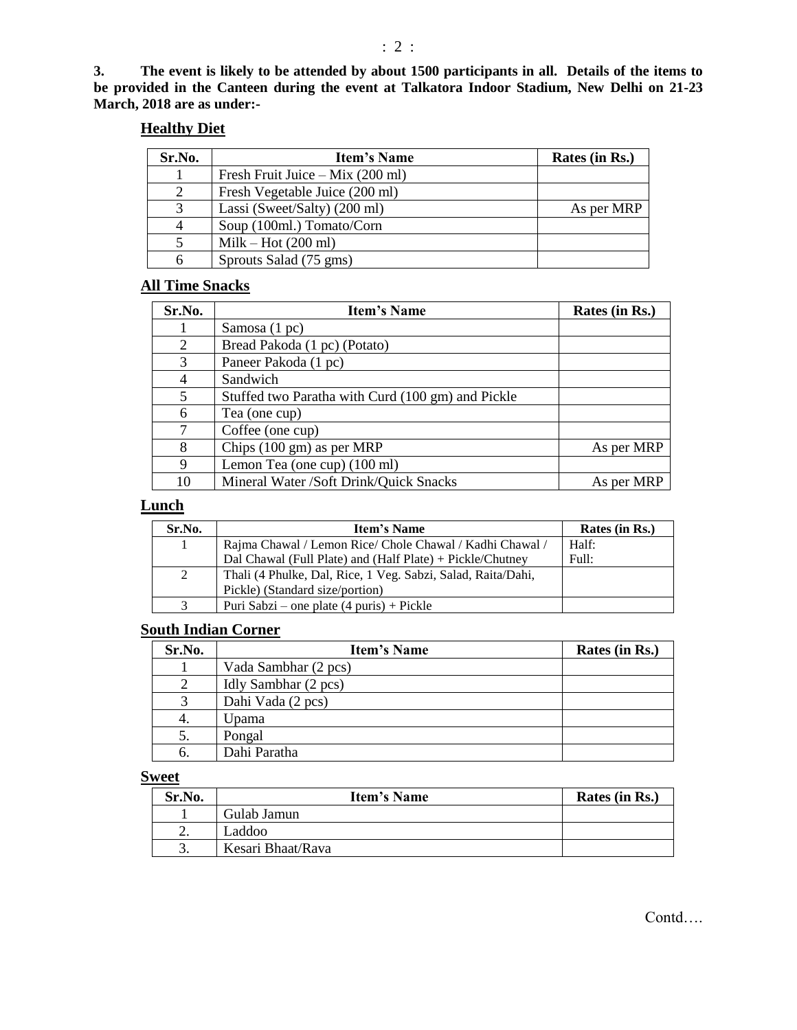# **Healthy Diet**

| Sr.No.         | <b>Item's Name</b>                         | Rates (in Rs.) |
|----------------|--------------------------------------------|----------------|
|                | Fresh Fruit Juice – Mix $(200 \text{ ml})$ |                |
| 2              | Fresh Vegetable Juice (200 ml)             |                |
| 3              | Lassi (Sweet/Salty) (200 ml)               | As per MRP     |
| $\overline{4}$ | Soup (100ml.) Tomato/Corn                  |                |
|                | $Milk - Hot (200 ml)$                      |                |
| 6              | Sprouts Salad (75 gms)                     |                |

# **All Time Snacks**

| Sr.No. | <b>Item's Name</b>                                | Rates (in Rs.) |
|--------|---------------------------------------------------|----------------|
|        | Samosa (1 pc)                                     |                |
| 2      | Bread Pakoda (1 pc) (Potato)                      |                |
| 3      | Paneer Pakoda (1 pc)                              |                |
| 4      | Sandwich                                          |                |
| 5      | Stuffed two Paratha with Curd (100 gm) and Pickle |                |
| 6      | Tea (one cup)                                     |                |
| 7      | Coffee (one cup)                                  |                |
| 8      | Chips $(100 \text{ gm})$ as per MRP               | As per MRP     |
| 9      | Lemon Tea (one cup) (100 ml)                      |                |
| 10     | Mineral Water /Soft Drink/Quick Snacks            | As per MRP     |

# **Lunch**

| Sr.No. | <b>Item's Name</b>                                           | Rates (in Rs.) |
|--------|--------------------------------------------------------------|----------------|
| 1      | Rajma Chawal / Lemon Rice/ Chole Chawal / Kadhi Chawal /     | Half:          |
|        | Dal Chawal (Full Plate) and (Half Plate) + Pickle/Chutney    | Full:          |
| 2      | Thali (4 Phulke, Dal, Rice, 1 Veg. Sabzi, Salad, Raita/Dahi, |                |
|        | Pickle) (Standard size/portion)                              |                |
|        | Puri Sabzi – one plate $(4 \text{ puris}) + \text{Pickle}$   |                |

#### **South Indian Corner**

| Sr.No. | <b>Item's Name</b>   | Rates (in Rs.) |
|--------|----------------------|----------------|
|        | Vada Sambhar (2 pcs) |                |
|        | Idly Sambhar (2 pcs) |                |
|        | Dahi Vada (2 pcs)    |                |
| 4.     | Upama                |                |
| 5.     | Pongal               |                |
| 6.     | Dahi Paratha         |                |

# **Sweet**

| Sr.No. | <b>Item's Name</b> | Rates (in Rs.) |
|--------|--------------------|----------------|
|        | Gulab Jamun        |                |
| ∼.     | Laddoo             |                |
|        | Kesari Bhaat/Rava  |                |

Contd….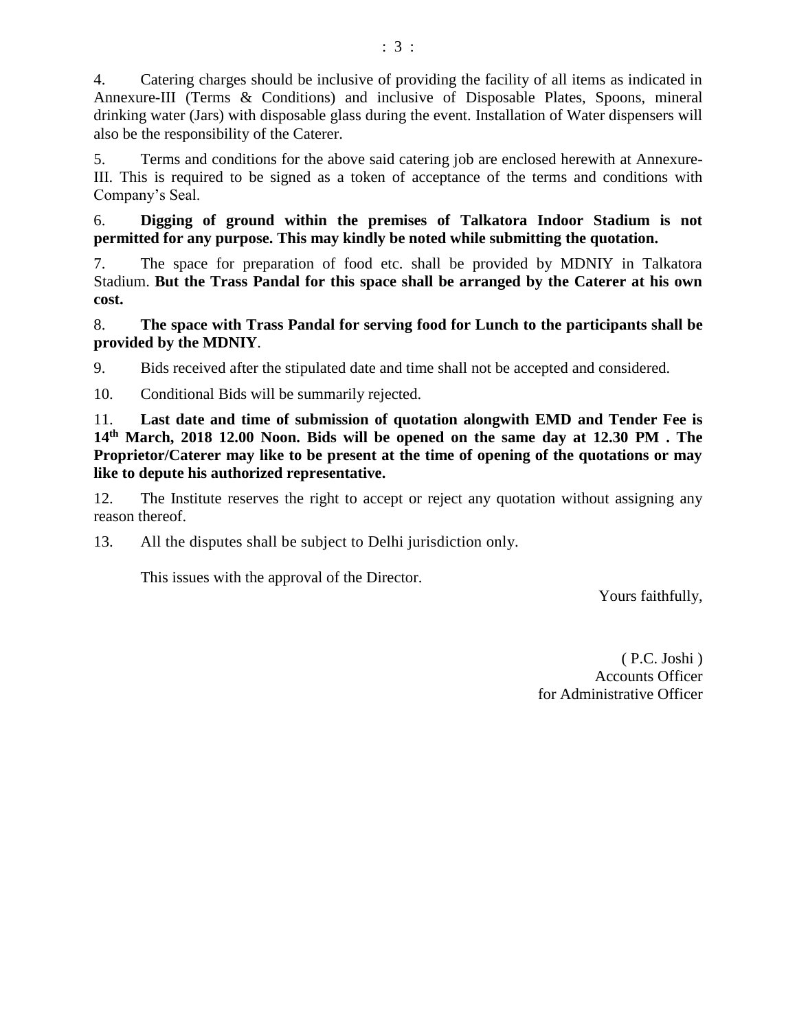4. Catering charges should be inclusive of providing the facility of all items as indicated in Annexure-III (Terms & Conditions) and inclusive of Disposable Plates, Spoons, mineral drinking water (Jars) with disposable glass during the event. Installation of Water dispensers will also be the responsibility of the Caterer.

5. Terms and conditions for the above said catering job are enclosed herewith at Annexure-III. This is required to be signed as a token of acceptance of the terms and conditions with Company's Seal.

6. **Digging of ground within the premises of Talkatora Indoor Stadium is not permitted for any purpose. This may kindly be noted while submitting the quotation.**

7. The space for preparation of food etc. shall be provided by MDNIY in Talkatora Stadium. **But the Trass Pandal for this space shall be arranged by the Caterer at his own cost.**

8. **The space with Trass Pandal for serving food for Lunch to the participants shall be provided by the MDNIY**.

9. Bids received after the stipulated date and time shall not be accepted and considered.

10. Conditional Bids will be summarily rejected.

11. **Last date and time of submission of quotation alongwith EMD and Tender Fee is 14 th March, 2018 12.00 Noon. Bids will be opened on the same day at 12.30 PM . The Proprietor/Caterer may like to be present at the time of opening of the quotations or may like to depute his authorized representative.**

12. The Institute reserves the right to accept or reject any quotation without assigning any reason thereof.

13. All the disputes shall be subject to Delhi jurisdiction only.

This issues with the approval of the Director.

Yours faithfully,

( P.C. Joshi ) Accounts Officer for Administrative Officer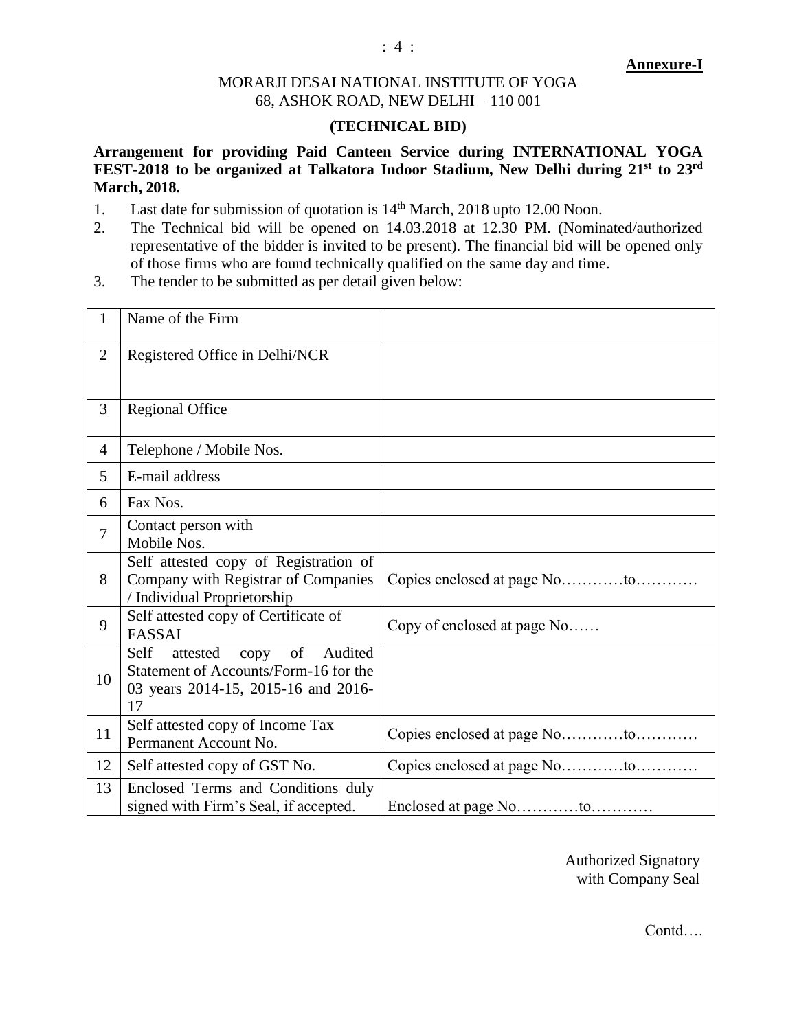#### **Annexure-I**

# MORARJI DESAI NATIONAL INSTITUTE OF YOGA 68, ASHOK ROAD, NEW DELHI – 110 001

### **(TECHNICAL BID)**

**Arrangement for providing Paid Canteen Service during INTERNATIONAL YOGA FEST-2018 to be organized at Talkatora Indoor Stadium, New Delhi during 21st to 23rd March, 2018.**

- 1. Last date for submission of quotation is  $14<sup>th</sup>$  March, 2018 upto 12.00 Noon.
- 2. The Technical bid will be opened on 14.03.2018 at 12.30 PM. (Nominated/authorized representative of the bidder is invited to be present). The financial bid will be opened only of those firms who are found technically qualified on the same day and time.
- 3. The tender to be submitted as per detail given below:

| 1              | Name of the Firm                                                                                                             |                              |
|----------------|------------------------------------------------------------------------------------------------------------------------------|------------------------------|
| $\overline{2}$ | Registered Office in Delhi/NCR                                                                                               |                              |
| 3              | <b>Regional Office</b>                                                                                                       |                              |
| $\overline{4}$ | Telephone / Mobile Nos.                                                                                                      |                              |
| 5              | E-mail address                                                                                                               |                              |
| 6              | Fax Nos.                                                                                                                     |                              |
| $\overline{7}$ | Contact person with<br>Mobile Nos.                                                                                           |                              |
| 8              | Self attested copy of Registration of<br>Company with Registrar of Companies<br>/ Individual Proprietorship                  | Copies enclosed at page Noto |
| 9              | Self attested copy of Certificate of<br><b>FASSAI</b>                                                                        | Copy of enclosed at page No  |
| 10             | Audited<br>Self<br>attested<br>copy of<br>Statement of Accounts/Form-16 for the<br>03 years 2014-15, 2015-16 and 2016-<br>17 |                              |
| 11             | Self attested copy of Income Tax<br>Permanent Account No.                                                                    |                              |
| 12             | Self attested copy of GST No.                                                                                                | Copies enclosed at page Noto |
| 13             | Enclosed Terms and Conditions duly<br>signed with Firm's Seal, if accepted.                                                  |                              |

Authorized Signatory with Company Seal

Contd….

: 4 :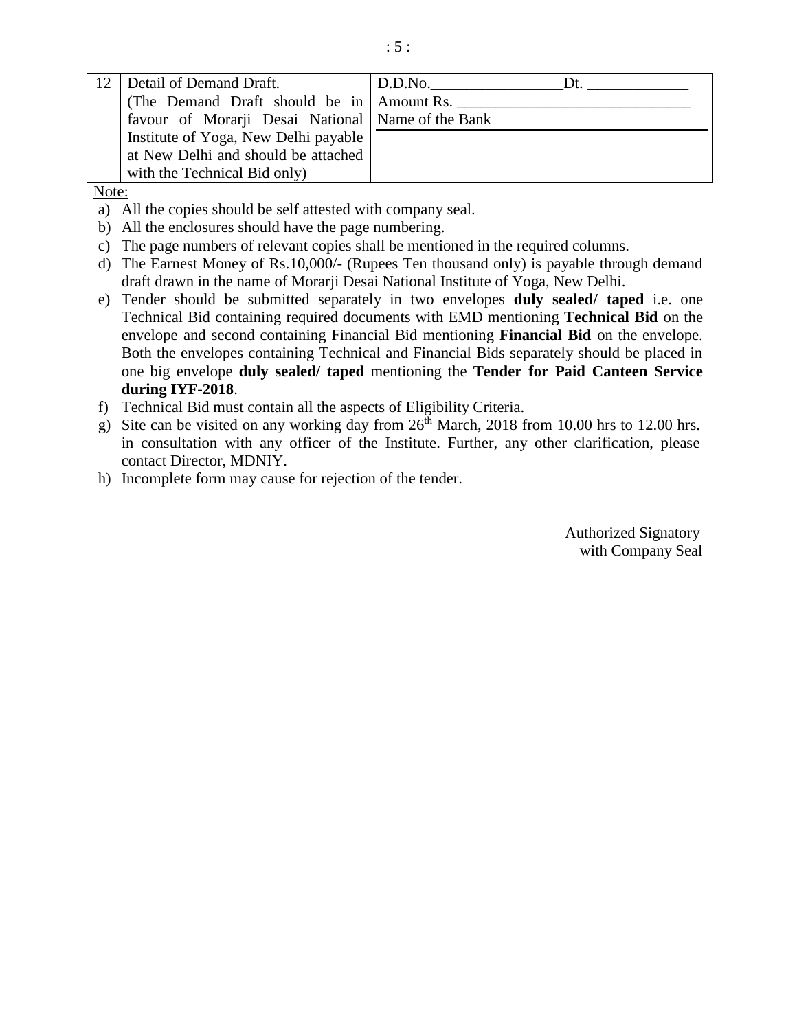| Detail of Demand Draft.                             | D.D.No.<br>l )t |
|-----------------------------------------------------|-----------------|
| (The Demand Draft should be in Amount Rs.           |                 |
| favour of Morarji Desai National   Name of the Bank |                 |
| Institute of Yoga, New Delhi payable                |                 |
| at New Delhi and should be attached                 |                 |
| with the Technical Bid only)                        |                 |

Note:

- a) All the copies should be self attested with company seal.
- b) All the enclosures should have the page numbering.
- c) The page numbers of relevant copies shall be mentioned in the required columns.
- d) The Earnest Money of Rs.10,000/- (Rupees Ten thousand only) is payable through demand draft drawn in the name of Morarji Desai National Institute of Yoga, New Delhi.
- e) Tender should be submitted separately in two envelopes **duly sealed/ taped** i.e. one Technical Bid containing required documents with EMD mentioning **Technical Bid** on the envelope and second containing Financial Bid mentioning **Financial Bid** on the envelope. Both the envelopes containing Technical and Financial Bids separately should be placed in one big envelope **duly sealed/ taped** mentioning the **Tender for Paid Canteen Service during IYF-2018**.
- f) Technical Bid must contain all the aspects of Eligibility Criteria.
- g) Site can be visited on any working day from  $26<sup>th</sup>$  March, 2018 from 10.00 hrs to 12.00 hrs. in consultation with any officer of the Institute. Further, any other clarification, please contact Director, MDNIY.
- h) Incomplete form may cause for rejection of the tender.

Authorized Signatory with Company Seal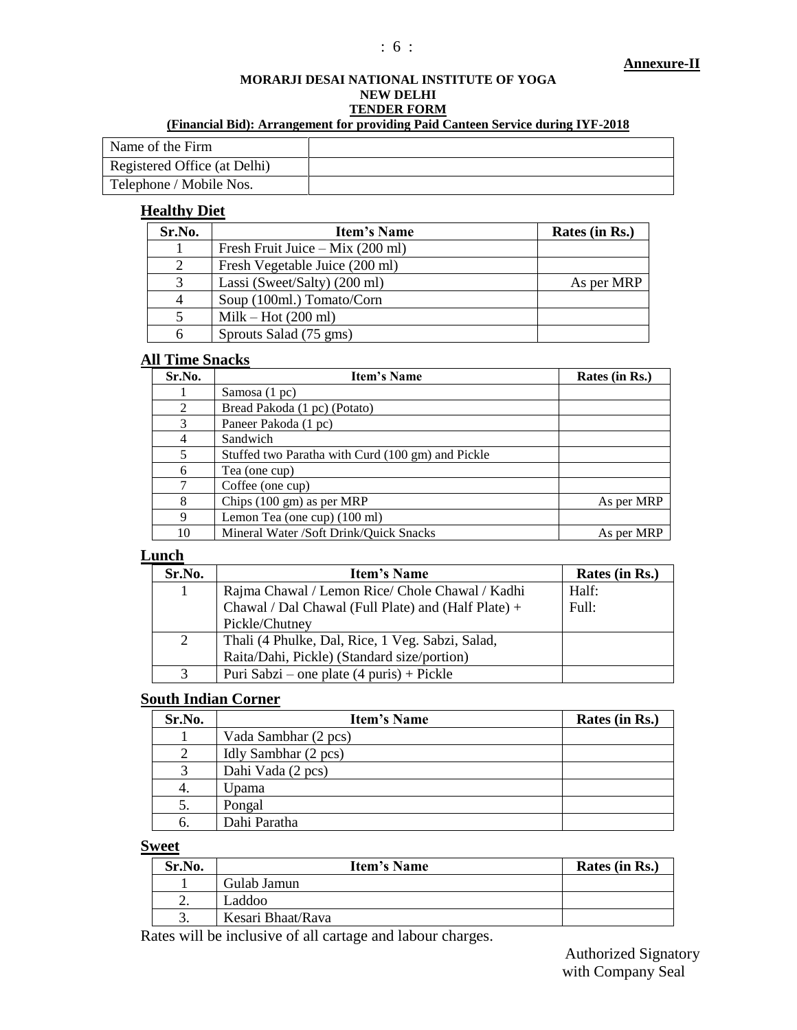#### **Annexure-II**

# **MORARJI DESAI NATIONAL INSTITUTE OF YOGA NEW DELHI TENDER FORM**

### **(Financial Bid): Arrangement for providing Paid Canteen Service during IYF-2018**

| Name of the Firm             |  |
|------------------------------|--|
| Registered Office (at Delhi) |  |
| Telephone / Mobile Nos.      |  |

# **Healthy Diet**

| Sr.No. | <b>Item's Name</b>                         | Rates (in Rs.) |
|--------|--------------------------------------------|----------------|
|        | Fresh Fruit Juice – Mix $(200 \text{ ml})$ |                |
| 2      | Fresh Vegetable Juice (200 ml)             |                |
| 3      | Lassi (Sweet/Salty) (200 ml)               | As per MRP     |
| 4      | Soup (100ml.) Tomato/Corn                  |                |
| 5      | $Milk - Hot (200 ml)$                      |                |
| 6      | Sprouts Salad (75 gms)                     |                |

# **All Time Snacks**

| Sr.No.        | Item's Name                                       | Rates (in Rs.) |
|---------------|---------------------------------------------------|----------------|
|               | Samosa $(1 pc)$                                   |                |
| 2             | Bread Pakoda (1 pc) (Potato)                      |                |
| $\mathcal{R}$ | Paneer Pakoda (1 pc)                              |                |
| 4             | Sandwich                                          |                |
| 5             | Stuffed two Paratha with Curd (100 gm) and Pickle |                |
| 6             | Tea (one cup)                                     |                |
|               | Coffee (one cup)                                  |                |
| 8             | Chips (100 gm) as per MRP                         | As per MRP     |
| 9             | Lemon Tea (one cup) (100 ml)                      |                |
| 10            | Mineral Water /Soft Drink/Quick Snacks            | As per MRP     |

# **Lunch**

| Sr.No. | <b>Item's Name</b>                                         | Rates (in Rs.) |
|--------|------------------------------------------------------------|----------------|
|        | Rajma Chawal / Lemon Rice/ Chole Chawal / Kadhi            | Half:          |
|        | Chawal / Dal Chawal (Full Plate) and (Half Plate) +        | Full:          |
|        | Pickle/Chutney                                             |                |
| 2      | Thali (4 Phulke, Dal, Rice, 1 Veg. Sabzi, Salad,           |                |
|        | Raita/Dahi, Pickle) (Standard size/portion)                |                |
|        | Puri Sabzi – one plate $(4 \text{ puris}) + \text{Pickle}$ |                |

# **South Indian Corner**

| Sr.No. | <b>Item's Name</b>   | Rates (in Rs.) |
|--------|----------------------|----------------|
|        | Vada Sambhar (2 pcs) |                |
| 2      | Idly Sambhar (2 pcs) |                |
| 3      | Dahi Vada (2 pcs)    |                |
| 4.     | Upama                |                |
| 5.     | Pongal               |                |
| 6.     | Dahi Paratha         |                |

# **Sweet**

| Sr.No.  | <b>Item's Name</b> | Rates (in Rs.) |
|---------|--------------------|----------------|
|         | Gulab Jamun        |                |
| ٠.      | Laddoo             |                |
| ⌒<br>J. | Kesari Bhaat/Rava  |                |

Rates will be inclusive of all cartage and labour charges.

Authorized Signatory with Company Seal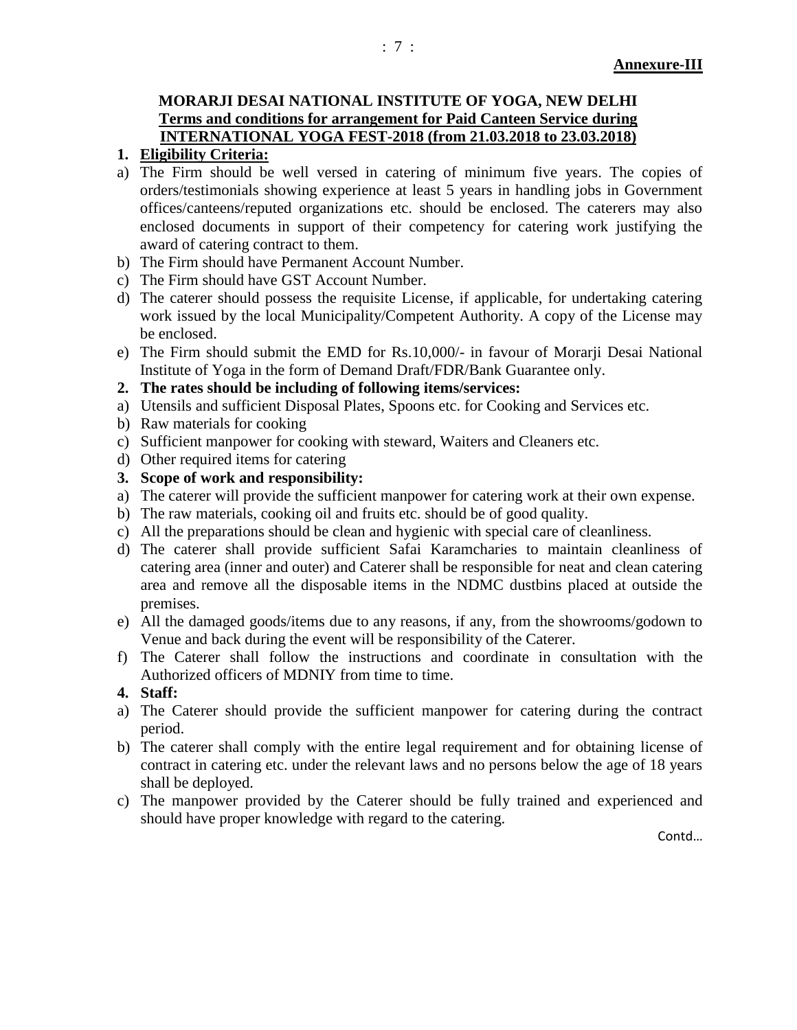# **MORARJI DESAI NATIONAL INSTITUTE OF YOGA, NEW DELHI Terms and conditions for arrangement for Paid Canteen Service during INTERNATIONAL YOGA FEST-2018 (from 21.03.2018 to 23.03.2018)**

# **1. Eligibility Criteria:**

- a) The Firm should be well versed in catering of minimum five years. The copies of orders/testimonials showing experience at least 5 years in handling jobs in Government offices/canteens/reputed organizations etc. should be enclosed. The caterers may also enclosed documents in support of their competency for catering work justifying the award of catering contract to them.
- b) The Firm should have Permanent Account Number.
- c) The Firm should have GST Account Number.
- d) The caterer should possess the requisite License, if applicable, for undertaking catering work issued by the local Municipality/Competent Authority. A copy of the License may be enclosed.
- e) The Firm should submit the EMD for Rs.10,000/- in favour of Morarji Desai National Institute of Yoga in the form of Demand Draft/FDR/Bank Guarantee only.
- **2. The rates should be including of following items/services:**
- a) Utensils and sufficient Disposal Plates, Spoons etc. for Cooking and Services etc.
- b) Raw materials for cooking
- c) Sufficient manpower for cooking with steward, Waiters and Cleaners etc.
- d) Other required items for catering
- **3. Scope of work and responsibility:**
- a) The caterer will provide the sufficient manpower for catering work at their own expense.
- b) The raw materials, cooking oil and fruits etc. should be of good quality.
- c) All the preparations should be clean and hygienic with special care of cleanliness.
- d) The caterer shall provide sufficient Safai Karamcharies to maintain cleanliness of catering area (inner and outer) and Caterer shall be responsible for neat and clean catering area and remove all the disposable items in the NDMC dustbins placed at outside the premises.
- e) All the damaged goods/items due to any reasons, if any, from the showrooms/godown to Venue and back during the event will be responsibility of the Caterer.
- f) The Caterer shall follow the instructions and coordinate in consultation with the Authorized officers of MDNIY from time to time.
- **4. Staff:**
- a) The Caterer should provide the sufficient manpower for catering during the contract period.
- b) The caterer shall comply with the entire legal requirement and for obtaining license of contract in catering etc. under the relevant laws and no persons below the age of 18 years shall be deployed.
- c) The manpower provided by the Caterer should be fully trained and experienced and should have proper knowledge with regard to the catering.

Contd…